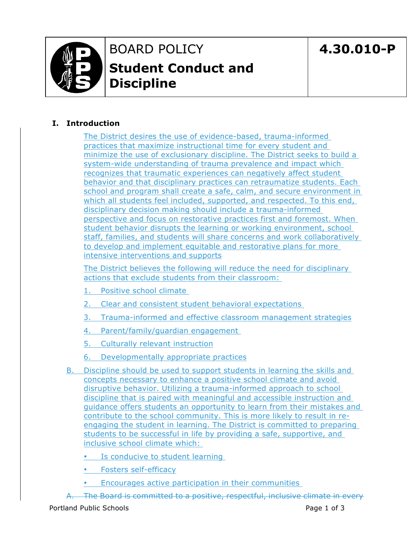

# BOARD POLICY **Student Conduct and Discipline**

## **I. Introduction**

The District desires the use of evidence-based, trauma-informed practices that maximize instructional time for every student and minimize the use of exclusionary discipline. The District seeks to build a system-wide understanding of trauma prevalence and impact which recognizes that traumatic experiences can negatively affect student behavior and that disciplinary practices can retraumatize students. Each school and program shall create a safe, calm, and secure environment in which all students feel included, supported, and respected. To this end, disciplinary decision making should include a trauma-informed perspective and focus on restorative practices first and foremost. When student behavior disrupts the learning or working environment, school staff, families, and students will share concerns and work collaboratively to develop and implement equitable and restorative plans for more intensive interventions and supports

The District believes the following will reduce the need for disciplinary actions that exclude students from their classroom:

- 1. Positive school climate
- 2. Clear and consistent student behavioral expectations
- 3. Trauma-informed and effective classroom management strategies
- 4. Parent/family/guardian engagement
- 5. Culturally relevant instruction
- 6. Developmentally appropriate practices
- B. Discipline should be used to support students in learning the skills and concepts necessary to enhance a positive school climate and avoid disruptive behavior. Utilizing a trauma-informed approach to school discipline that is paired with meaningful and accessible instruction and guidance offers students an opportunity to learn from their mistakes and contribute to the school community. This is more likely to result in reengaging the student in learning. The District is committed to preparing students to be successful in life by providing a safe, supportive, and inclusive school climate which:
	- Is conducive to student learning
	- Fosters self-efficacy
	- Encourages active participation in their communities
- A. The Board is committed to a positive, respectful, inclusive climate in every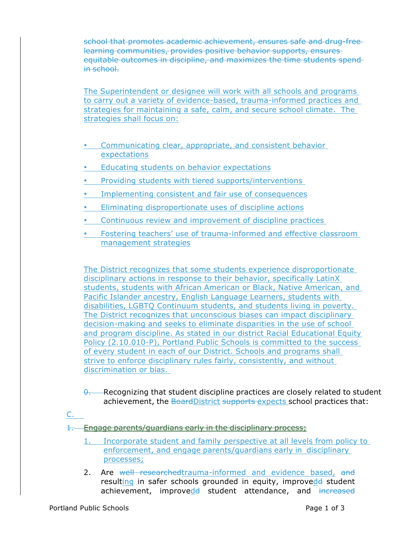school that promotes academic achievement, ensures safe and drug-free learning communities, provides positive behavior supports, ensures equitable outcomes in discipline, and maximizes the time students spend in school.

The Superintendent or designee will work with all schools and programs to carry out a variety of evidence-based, trauma-informed practices and strategies for maintaining a safe, calm, and secure school climate. The strategies shall focus on:

- Communicating clear, appropriate, and consistent behavior expectations
- Educating students on behavior expectations
- Providing students with tiered supports/interventions
- Implementing consistent and fair use of consequences
- Eliminating disproportionate uses of discipline actions
- Continuous review and improvement of discipline practices
- Fostering teachers' use of trauma-informed and effective classroom management strategies

The District recognizes that some students experience disproportionate disciplinary actions in response to their behavior, specifically LatinX students, students with African American or Black, Native American, and Pacific Islander ancestry, English Language Learners, students with disabilities, LGBTQ Continuum students, and students living in poverty. The District recognizes that unconscious biases can impact disciplinary decision-making and seeks to eliminate disparities in the use of school and program discipline. As stated in our district Racial Educational Equity Policy (2.10.010-P), Portland Public Schools is committed to the success of every student in each of our District. Schools and programs shall strive to enforce disciplinary rules fairly, consistently, and without discrimination or bias.

- $\theta$ . Recognizing that student discipline practices are closely related to student achievement, the BoardDistrict supports expects school practices that:
- C.

1. Engage parents/guardians early in the disciplinary process;

- 1. Incorporate student and family perspective at all levels from policy to enforcement, and engage parents/guardians early in disciplinary processes;
- 2. Are well researchedtrauma-informed and evidence based, and resulting in safer schools grounded in equity, improvede student achievement, improvedd student attendance, and increased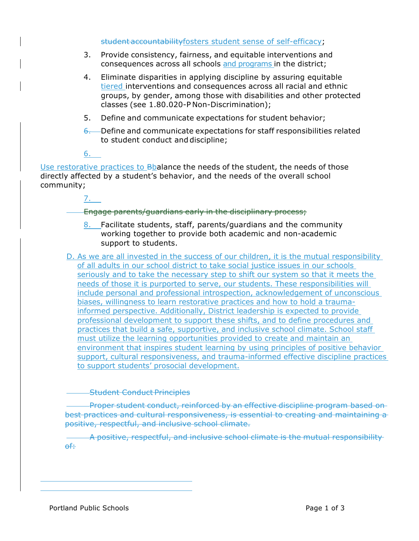#### student accountabilityfosters student sense of self-efficacy;

- 3. Provide consistency, fairness, and equitable interventions and consequences across all schools and programs in the district;
- 4. Eliminate disparities in applying discipline by assuring equitable tiered interventions and consequences across all racial and ethnic groups, by gender, among those with disabilities and other protected classes (see 1.80.020-P Non-Discrimination);
- 5. Define and communicate expectations for student behavior;
- $6$ . Define and communicate expectations for staff responsibilities related to student conduct and discipline;

6.

Use restorative practices to Bbalance the needs of the student, the needs of those directly affected by a student's behavior, and the needs of the overall school community;

7.

## Engage parents/guardians early in the disciplinary process;

- 8. Facilitate students, staff, parents/guardians and the community working together to provide both academic and non-academic support to students.
- D. As we are all invested in the success of our children, it is the mutual responsibility of all adults in our school district to take social justice issues in our schools seriously and to take the necessary step to shift our system so that it meets the needs of those it is purported to serve, our students. These responsibilities will include personal and professional introspection, acknowledgement of unconscious biases, willingness to learn restorative practices and how to hold a traumainformed perspective. Additionally, District leadership is expected to provide professional development to support these shifts, and to define procedures and practices that build a safe, supportive, and inclusive school climate. School staff must utilize the learning opportunities provided to create and maintain an environment that inspires student learning by using principles of positive behavior support, cultural responsiveness, and trauma-informed effective discipline practices to support students' prosocial development.

**Student Conduct Principles** 

Proper student conduct, reinforced by an effective discipline program based on best practices and cultural responsiveness, is essential to creating and maintaining a positive, respectful, and inclusive school climate.

A positive, respectful, and inclusive school climate is the mutual responsibility of: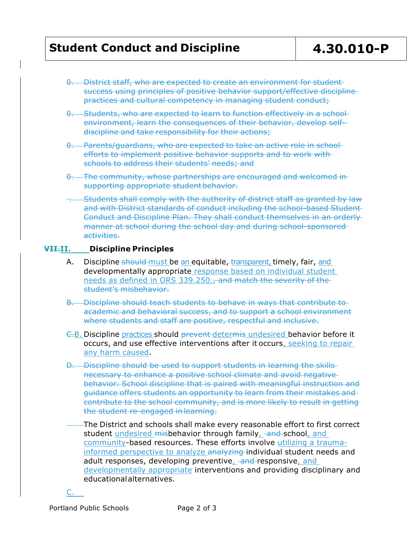- 0. District staff, who are expected to create an environment for student success using principles of positive behavior support/effective discipline practices and cultural competency in managing student conduct;
- 0. Students, who are expected to learn to function effectively in a school environment, learn the consequences of their behavior, develop selfdiscipline and take responsibility for their actions;
- 0. Parents/guardians, who are expected to take an active role in school efforts to implement positive behavior supports and to work with schools to address their students' needs; and
- 0. The community, whose partnerships are encouraged and welcomed in supporting appropriate student behavior.
- . Students shall comply with the authority of district staff as granted by law and with District standards of conduct including the school-based Student Conduct and Discipline Plan. They shall conduct themselves in an orderly manner at school during the school day and during school-sponsored activities.

#### **VII.II. Discipline Principles**

- A. Discipline should must be an equitable, transparent, timely, fair, and developmentally appropriate response based on individual student needs as defined in ORS 339.250., and match the severity of the student's misbehavior.
- B. Discipline should teach students to behave in ways that contribute to academic and behavioral success, and to support a school environment where students and staff are positive, respectful and inclusive.
- C.B. Discipline practices should prevent determis undesired behavior before it occurs, and use effective interventions after it occurs, seeking to repair any harm caused.
- D. Discipline should be used to support students in learning the skills necessary to enhance a positive school climate and avoid negative behavior. School discipline that is paired with meaningful instruction and guidance offers students an opportunity to learn from their mistakes and contribute to the school community, and is more likely to result in getting the student re-engaged in learning.
	- The District and schools shall make every reasonable effort to first correct student undesired misbehavior through family, and school, and community-based resources. These efforts involve utilizing a traumainformed perspective to analyze analyzing individual student needs and adult responses, developing preventive, and responsive, and developmentally appropriate interventions and providing disciplinary and educationalalternatives.

C.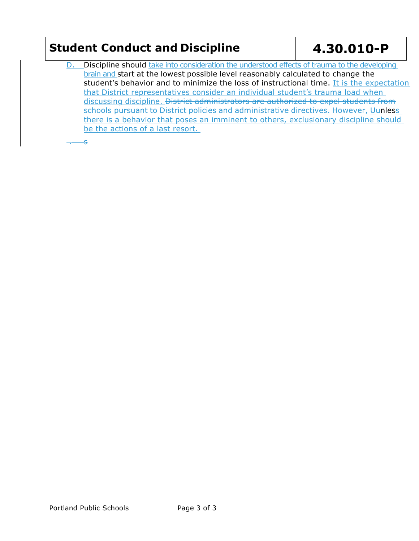D. Discipline should take into consideration the understood effects of trauma to the developing brain and start at the lowest possible level reasonably calculated to change the student's behavior and to minimize the loss of instructional time. It is the expectation that District representatives consider an individual student's trauma load when discussing discipline. District administrators are authorized to expel students from schools pursuant to District policies and administrative directives. However, Uunless there is a behavior that poses an imminent to others, exclusionary discipline should be the actions of a last resort.

 $\overline{\mathbf{r}}$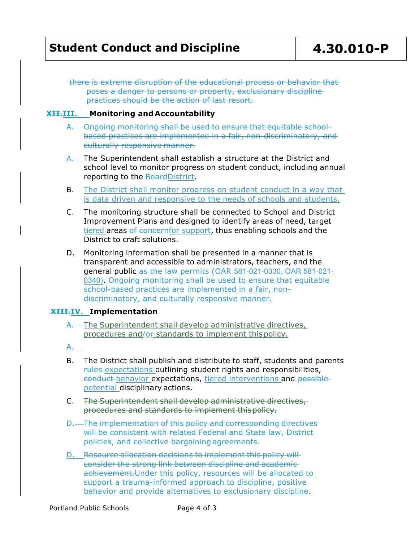there is extreme disruption of the educational process or behavior that poses a danger to persons or property, exclusionary discipline practices should be the action of last resort.

### **XII.III. Monitoring and Accountability**

- A. Ongoing monitoring shall be used to ensure that equitable schoolbased practices are implemented in a fair, non-discriminatory, and culturally responsive manner.
- A. The Superintendent shall establish a structure at the District and school level to monitor progress on student conduct, including annual reporting to the BoardDistrict.
- B. The District shall monitor progress on student conduct in a way that is data driven and responsive to the needs of schools and students.
- C. The monitoring structure shall be connected to School and District Improvement Plans and designed to identify areas of need, target tiered areas of concernfor support, thus enabling schools and the District to craft solutions.
- D. Monitoring information shall be presented in a manner that is transparent and accessible to administrators, teachers, and the general public as the law permits (OAR 581-021-0330, OAR 581-021- 0340). Ongoing monitoring shall be used to ensure that equitable school-based practices are implemented in a fair, nondiscriminatory, and culturally responsive manner.

## **XIII.IV. Implementation**

A. The Superintendent shall develop administrative directives, procedures and/or standards to implement thispolicy.

A.

- B. The District shall publish and distribute to staff, students and parents rules expectations outlining student rights and responsibilities, conduct behavior expectations, tiered interventions and possible potential disciplinary actions.
- C. The Superintendent shall develop administrative directives, procedures and standards to implement thispolicy.
- D. The implementation of this policy and corresponding directives will be consistent with related Federal and State law, Districtpolicies, and collective bargaining agreements.
- D. Resource allocation decisions to implement this policy will consider the strong link between discipline and academic achievement. Under this policy, resources will be allocated to support a trauma-informed approach to discipline, positive behavior and provide alternatives to exclusionary discipline.